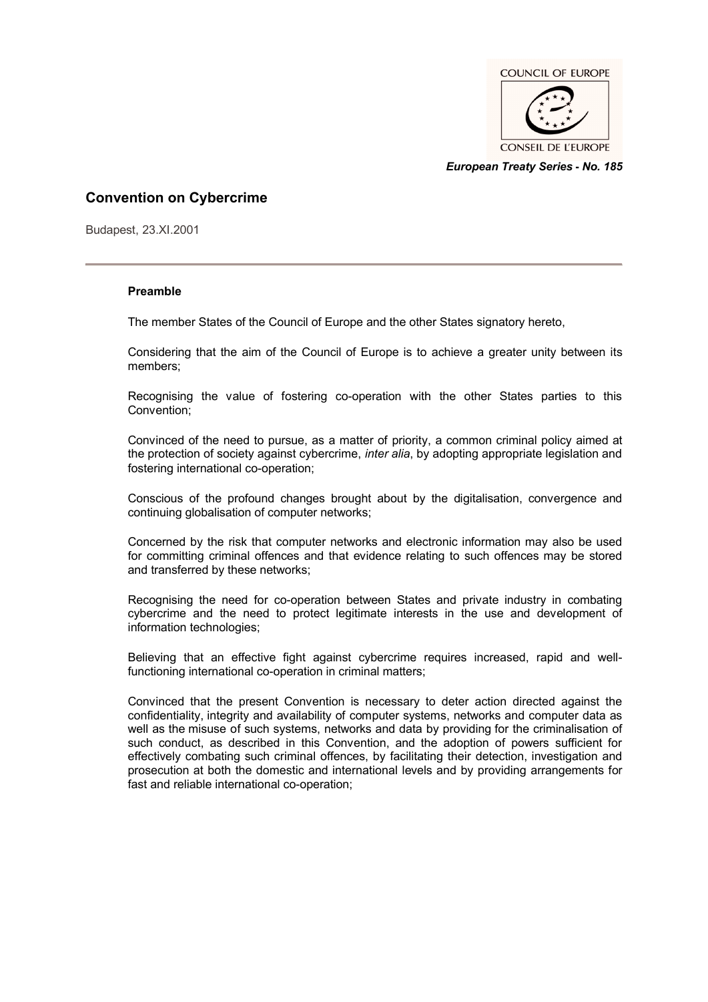

*European Treaty Series* **-** *No. 185*

# **Convention on Cybercrime**

Budapest, 23.XI.2001

## **Preamble**

The member States of the Council of Europe and the other States signatory hereto,

Considering that the aim of the Council of Europe is to achieve a greater unity between its members;

Recognising the value of fostering co-operation with the other States parties to this Convention;

Convinced of the need to pursue, as a matter of priority, a common criminal policy aimed at the protection of society against cybercrime, *inter alia*, by adopting appropriate legislation and fostering international co-operation;

Conscious of the profound changes brought about by the digitalisation, convergence and continuing globalisation of computer networks;

Concerned by the risk that computer networks and electronic information may also be used for committing criminal offences and that evidence relating to such offences may be stored and transferred by these networks;

Recognising the need for co-operation between States and private industry in combating cybercrime and the need to protect legitimate interests in the use and development of information technologies;

Believing that an effective fight against cybercrime requires increased, rapid and wellfunctioning international co-operation in criminal matters;

Convinced that the present Convention is necessary to deter action directed against the confidentiality, integrity and availability of computer systems, networks and computer data as well as the misuse of such systems, networks and data by providing for the criminalisation of such conduct, as described in this Convention, and the adoption of powers sufficient for effectively combating such criminal offences, by facilitating their detection, investigation and prosecution at both the domestic and international levels and by providing arrangements for fast and reliable international co-operation;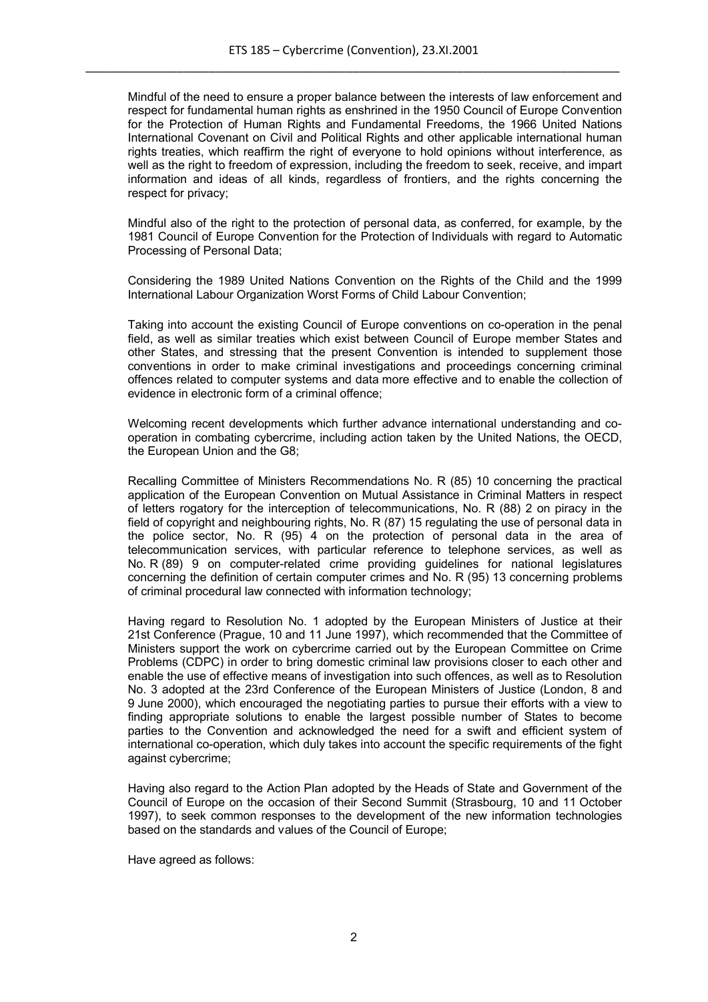Mindful of the need to ensure a proper balance between the interests of law enforcement and respect for fundamental human rights as enshrined in the 1950 Council of Europe Convention for the Protection of Human Rights and Fundamental Freedoms, the 1966 United Nations International Covenant on Civil and Political Rights and other applicable international human rights treaties, which reaffirm the right of everyone to hold opinions without interference, as well as the right to freedom of expression, including the freedom to seek, receive, and impart information and ideas of all kinds, regardless of frontiers, and the rights concerning the respect for privacy;

Mindful also of the right to the protection of personal data, as conferred, for example, by the 1981 Council of Europe Convention for the Protection of Individuals with regard to Automatic Processing of Personal Data;

Considering the 1989 United Nations Convention on the Rights of the Child and the 1999 International Labour Organization Worst Forms of Child Labour Convention;

Taking into account the existing Council of Europe conventions on co-operation in the penal field, as well as similar treaties which exist between Council of Europe member States and other States, and stressing that the present Convention is intended to supplement those conventions in order to make criminal investigations and proceedings concerning criminal offences related to computer systems and data more effective and to enable the collection of evidence in electronic form of a criminal offence;

Welcoming recent developments which further advance international understanding and cooperation in combating cybercrime, including action taken by the United Nations, the OECD, the European Union and the G8;

Recalling Committee of Ministers Recommendations No. R (85) 10 concerning the practical application of the European Convention on Mutual Assistance in Criminal Matters in respect of letters rogatory for the interception of telecommunications, No. R (88) 2 on piracy in the field of copyright and neighbouring rights, No. R (87) 15 regulating the use of personal data in the police sector, No. R (95) 4 on the protection of personal data in the area of telecommunication services, with particular reference to telephone services, as well as No. R (89) 9 on computer-related crime providing guidelines for national legislatures concerning the definition of certain computer crimes and No. R (95) 13 concerning problems of criminal procedural law connected with information technology;

Having regard to Resolution No. 1 adopted by the European Ministers of Justice at their 21st Conference (Prague, 10 and 11 June 1997), which recommended that the Committee of Ministers support the work on cybercrime carried out by the European Committee on Crime Problems (CDPC) in order to bring domestic criminal law provisions closer to each other and enable the use of effective means of investigation into such offences, as well as to Resolution No. 3 adopted at the 23rd Conference of the European Ministers of Justice (London, 8 and 9 June 2000), which encouraged the negotiating parties to pursue their efforts with a view to finding appropriate solutions to enable the largest possible number of States to become parties to the Convention and acknowledged the need for a swift and efficient system of international co-operation, which duly takes into account the specific requirements of the fight against cybercrime;

Having also regard to the Action Plan adopted by the Heads of State and Government of the Council of Europe on the occasion of their Second Summit (Strasbourg, 10 and 11 October 1997), to seek common responses to the development of the new information technologies based on the standards and values of the Council of Europe;

Have agreed as follows: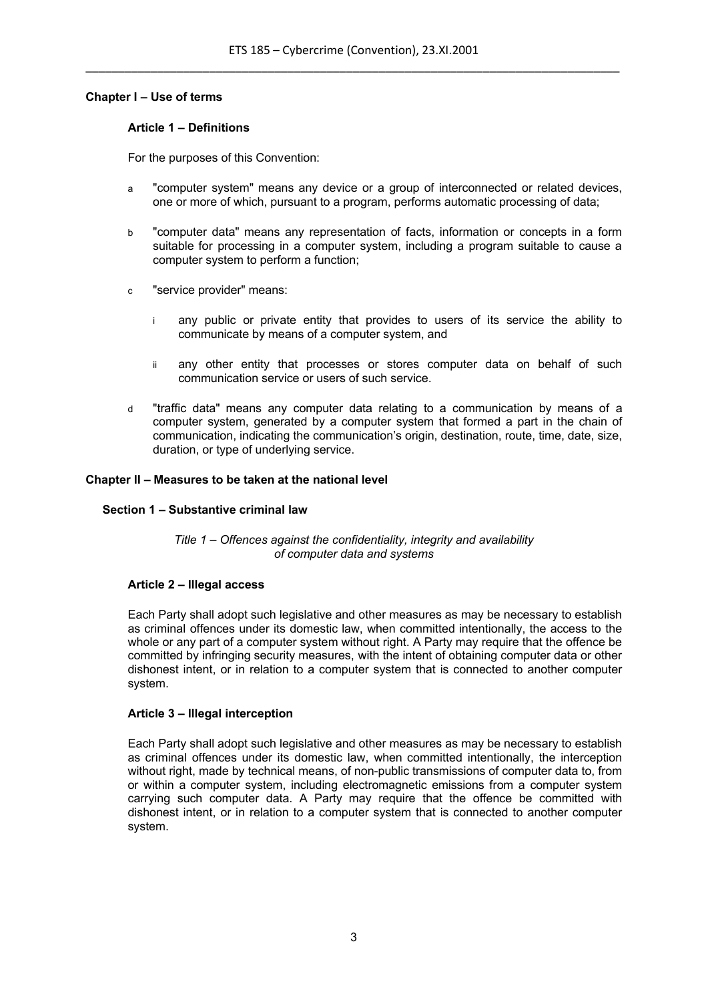### **Chapter I – Use of terms**

#### **Article 1 – Definitions**

For the purposes of this Convention:

- a "computer system" means any device or a group of interconnected or related devices, one or more of which, pursuant to a program, performs automatic processing of data;
- b "computer data" means any representation of facts, information or concepts in a form suitable for processing in a computer system, including a program suitable to cause a computer system to perform a function;
- c "service provider" means:
	- i any public or private entity that provides to users of its service the ability to communicate by means of a computer system, and
	- ii any other entity that processes or stores computer data on behalf of such communication service or users of such service.
- d "traffic data" means any computer data relating to a communication by means of a computer system, generated by a computer system that formed a part in the chain of communication, indicating the communication's origin, destination, route, time, date, size, duration, or type of underlying service.

### **Chapter II – Measures to be taken at the national level**

#### **Section 1 – Substantive criminal law**

*Title 1 – Offences against the confidentiality, integrity and availability of computer data and systems*

#### **Article 2 – Illegal access**

Each Party shall adopt such legislative and other measures as may be necessary to establish as criminal offences under its domestic law, when committed intentionally, the access to the whole or any part of a computer system without right. A Party may require that the offence be committed by infringing security measures, with the intent of obtaining computer data or other dishonest intent, or in relation to a computer system that is connected to another computer system.

### **Article 3 – Illegal interception**

Each Party shall adopt such legislative and other measures as may be necessary to establish as criminal offences under its domestic law, when committed intentionally, the interception without right, made by technical means, of non-public transmissions of computer data to, from or within a computer system, including electromagnetic emissions from a computer system carrying such computer data. A Party may require that the offence be committed with dishonest intent, or in relation to a computer system that is connected to another computer system.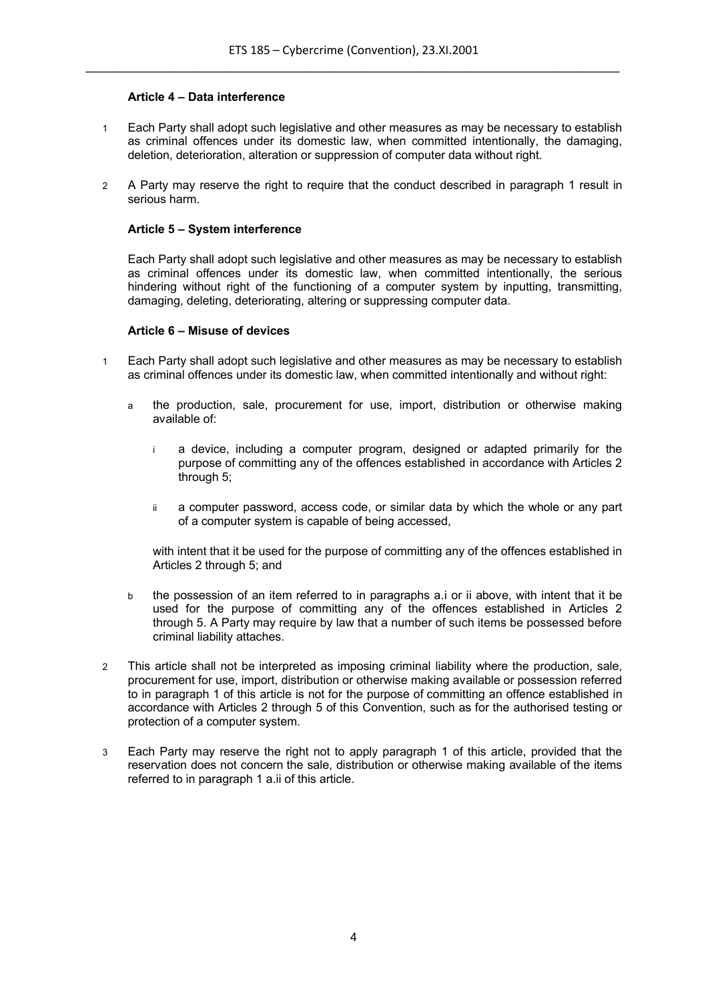### **Article 4 – Data interference**

- 1 Each Party shall adopt such legislative and other measures as may be necessary to establish as criminal offences under its domestic law, when committed intentionally, the damaging, deletion, deterioration, alteration or suppression of computer data without right.
- 2 A Party may reserve the right to require that the conduct described in paragraph 1 result in serious harm.

#### **Article 5 – System interference**

Each Party shall adopt such legislative and other measures as may be necessary to establish as criminal offences under its domestic law, when committed intentionally, the serious hindering without right of the functioning of a computer system by inputting, transmitting, damaging, deleting, deteriorating, altering or suppressing computer data.

### **Article 6 – Misuse of devices**

- 1 Each Party shall adopt such legislative and other measures as may be necessary to establish as criminal offences under its domestic law, when committed intentionally and without right:
	- a the production, sale, procurement for use, import, distribution or otherwise making available of:
		- i a device, including a computer program, designed or adapted primarily for the purpose of committing any of the offences established in accordance with Articles 2 through 5;
		- ii a computer password, access code, or similar data by which the whole or any part of a computer system is capable of being accessed,

with intent that it be used for the purpose of committing any of the offences established in Articles 2 through 5; and

- b the possession of an item referred to in paragraphs a.i or ii above, with intent that it be used for the purpose of committing any of the offences established in Articles 2 through 5. A Party may require by law that a number of such items be possessed before criminal liability attaches.
- 2 This article shall not be interpreted as imposing criminal liability where the production, sale, procurement for use, import, distribution or otherwise making available or possession referred to in paragraph 1 of this article is not for the purpose of committing an offence established in accordance with Articles 2 through 5 of this Convention, such as for the authorised testing or protection of a computer system.
- 3 Each Party may reserve the right not to apply paragraph 1 of this article, provided that the reservation does not concern the sale, distribution or otherwise making available of the items referred to in paragraph 1 a.ii of this article.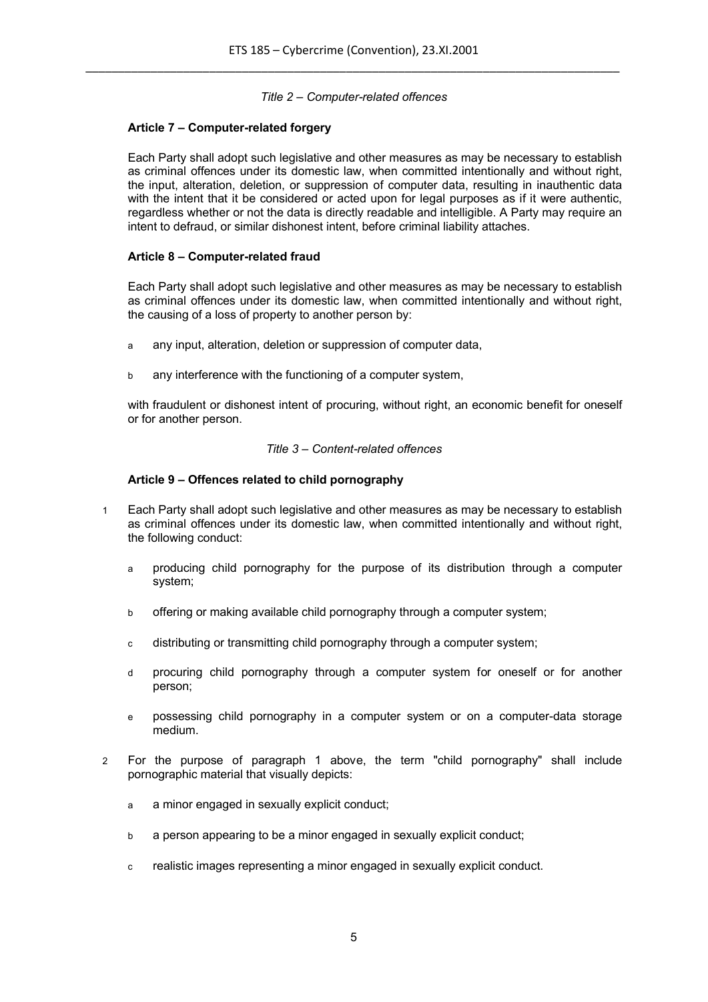## *Title 2 – Computer-related offences*

### **Article 7 – Computer-related forgery**

Each Party shall adopt such legislative and other measures as may be necessary to establish as criminal offences under its domestic law, when committed intentionally and without right, the input, alteration, deletion, or suppression of computer data, resulting in inauthentic data with the intent that it be considered or acted upon for legal purposes as if it were authentic, regardless whether or not the data is directly readable and intelligible. A Party may require an intent to defraud, or similar dishonest intent, before criminal liability attaches.

### **Article 8 – Computer-related fraud**

Each Party shall adopt such legislative and other measures as may be necessary to establish as criminal offences under its domestic law, when committed intentionally and without right, the causing of a loss of property to another person by:

- a any input, alteration, deletion or suppression of computer data,
- b any interference with the functioning of a computer system,

with fraudulent or dishonest intent of procuring, without right, an economic benefit for oneself or for another person.

### *Title 3 – Content-related offences*

### **Article 9 – Offences related to child pornography**

- 1 Each Party shall adopt such legislative and other measures as may be necessary to establish as criminal offences under its domestic law, when committed intentionally and without right, the following conduct:
	- a producing child pornography for the purpose of its distribution through a computer system;
	- b offering or making available child pornography through a computer system;
	- c distributing or transmitting child pornography through a computer system;
	- d procuring child pornography through a computer system for oneself or for another person;
	- e possessing child pornography in a computer system or on a computer-data storage medium.
- 2 For the purpose of paragraph 1 above, the term "child pornography" shall include pornographic material that visually depicts:
	- a a minor engaged in sexually explicit conduct;
	- b a person appearing to be a minor engaged in sexually explicit conduct;
	- c realistic images representing a minor engaged in sexually explicit conduct.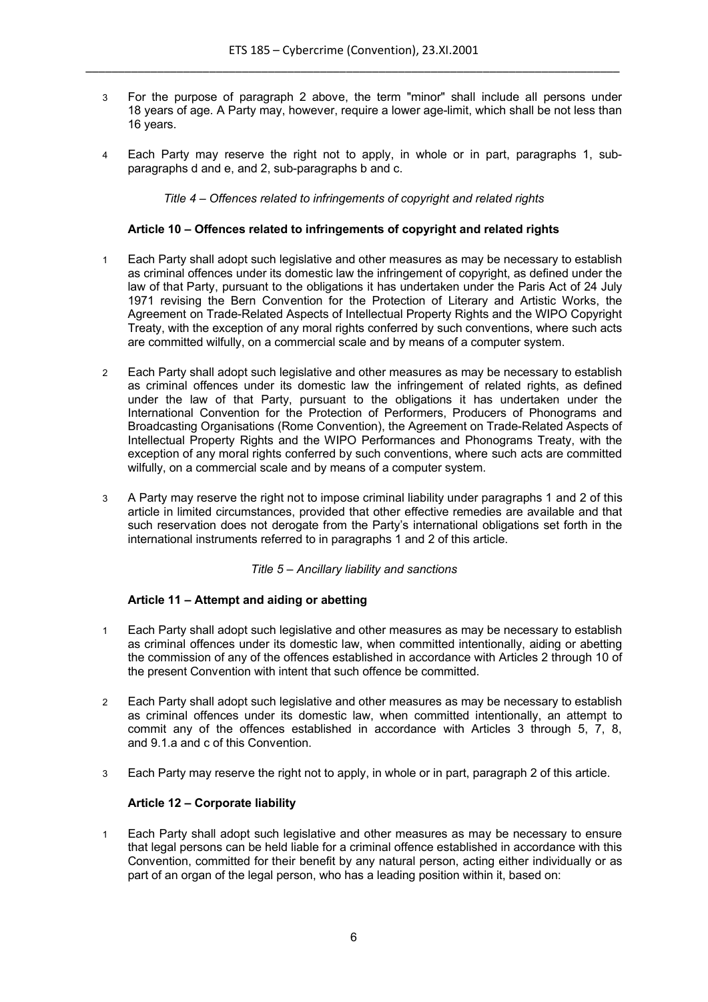- 3 For the purpose of paragraph 2 above, the term "minor" shall include all persons under 18 years of age. A Party may, however, require a lower age-limit, which shall be not less than 16 years.
- 4 Each Party may reserve the right not to apply, in whole or in part, paragraphs 1, subparagraphs d and e, and 2, sub-paragraphs b and c.

## *Title 4 – Offences related to infringements of copyright and related rights*

### **Article 10 – Offences related to infringements of copyright and related rights**

- 1 Each Party shall adopt such legislative and other measures as may be necessary to establish as criminal offences under its domestic law the infringement of copyright, as defined under the law of that Party, pursuant to the obligations it has undertaken under the Paris Act of 24 July 1971 revising the Bern Convention for the Protection of Literary and Artistic Works, the Agreement on Trade-Related Aspects of Intellectual Property Rights and the WIPO Copyright Treaty, with the exception of any moral rights conferred by such conventions, where such acts are committed wilfully, on a commercial scale and by means of a computer system.
- 2 Each Party shall adopt such legislative and other measures as may be necessary to establish as criminal offences under its domestic law the infringement of related rights, as defined under the law of that Party, pursuant to the obligations it has undertaken under the International Convention for the Protection of Performers, Producers of Phonograms and Broadcasting Organisations (Rome Convention), the Agreement on Trade-Related Aspects of Intellectual Property Rights and the WIPO Performances and Phonograms Treaty, with the exception of any moral rights conferred by such conventions, where such acts are committed wilfully, on a commercial scale and by means of a computer system.
- 3 A Party may reserve the right not to impose criminal liability under paragraphs 1 and 2 of this article in limited circumstances, provided that other effective remedies are available and that such reservation does not derogate from the Party's international obligations set forth in the international instruments referred to in paragraphs 1 and 2 of this article.

#### *Title 5 – Ancillary liability and sanctions*

## **Article 11 – Attempt and aiding or abetting**

- 1 Each Party shall adopt such legislative and other measures as may be necessary to establish as criminal offences under its domestic law, when committed intentionally, aiding or abetting the commission of any of the offences established in accordance with Articles 2 through 10 of the present Convention with intent that such offence be committed.
- 2 Each Party shall adopt such legislative and other measures as may be necessary to establish as criminal offences under its domestic law, when committed intentionally, an attempt to commit any of the offences established in accordance with Articles 3 through 5, 7, 8, and 9.1.a and c of this Convention.
- 3 Each Party may reserve the right not to apply, in whole or in part, paragraph 2 of this article.

## **Article 12 – Corporate liability**

1 Each Party shall adopt such legislative and other measures as may be necessary to ensure that legal persons can be held liable for a criminal offence established in accordance with this Convention, committed for their benefit by any natural person, acting either individually or as part of an organ of the legal person, who has a leading position within it, based on: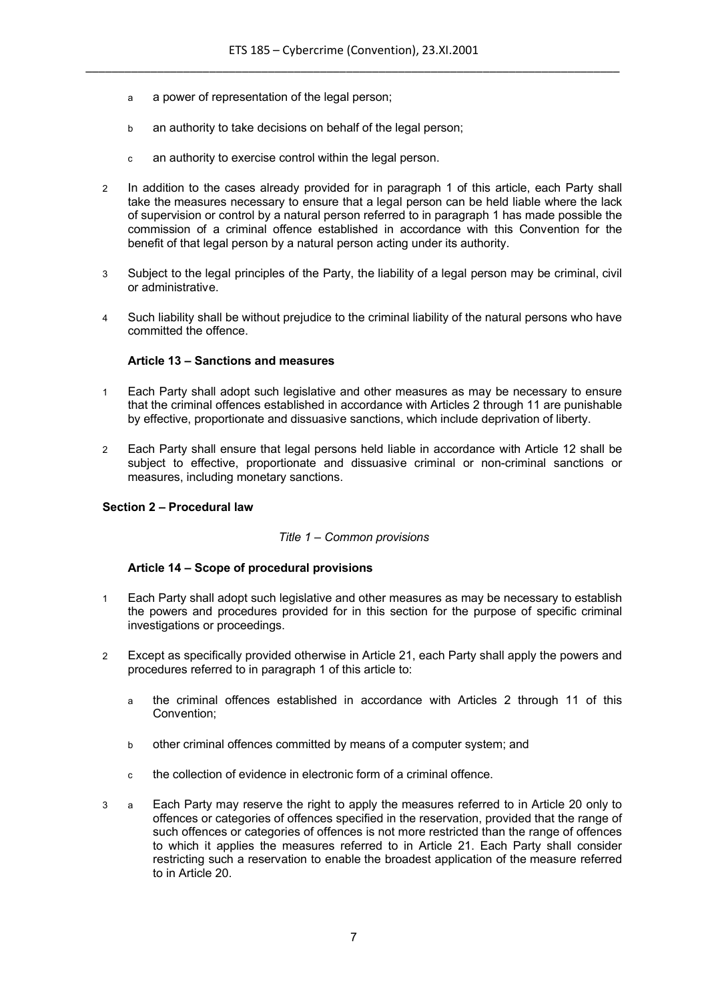- a a power of representation of the legal person;
- b an authority to take decisions on behalf of the legal person;
- c an authority to exercise control within the legal person.
- 2 In addition to the cases already provided for in paragraph 1 of this article, each Party shall take the measures necessary to ensure that a legal person can be held liable where the lack of supervision or control by a natural person referred to in paragraph 1 has made possible the commission of a criminal offence established in accordance with this Convention for the benefit of that legal person by a natural person acting under its authority.
- 3 Subject to the legal principles of the Party, the liability of a legal person may be criminal, civil or administrative.
- 4 Such liability shall be without prejudice to the criminal liability of the natural persons who have committed the offence.

### **Article 13 – Sanctions and measures**

- 1 Each Party shall adopt such legislative and other measures as may be necessary to ensure that the criminal offences established in accordance with Articles 2 through 11 are punishable by effective, proportionate and dissuasive sanctions, which include deprivation of liberty.
- 2 Each Party shall ensure that legal persons held liable in accordance with Article 12 shall be subject to effective, proportionate and dissuasive criminal or non-criminal sanctions or measures, including monetary sanctions.

### **Section 2 – Procedural law**

#### *Title 1 – Common provisions*

## **Article 14 – Scope of procedural provisions**

- 1 Each Party shall adopt such legislative and other measures as may be necessary to establish the powers and procedures provided for in this section for the purpose of specific criminal investigations or proceedings.
- 2 Except as specifically provided otherwise in Article 21, each Party shall apply the powers and procedures referred to in paragraph 1 of this article to:
	- a the criminal offences established in accordance with Articles 2 through 11 of this Convention;
	- b other criminal offences committed by means of a computer system; and
	- c the collection of evidence in electronic form of a criminal offence.
- 3 a Each Party may reserve the right to apply the measures referred to in Article 20 only to offences or categories of offences specified in the reservation, provided that the range of such offences or categories of offences is not more restricted than the range of offences to which it applies the measures referred to in Article 21. Each Party shall consider restricting such a reservation to enable the broadest application of the measure referred to in Article 20.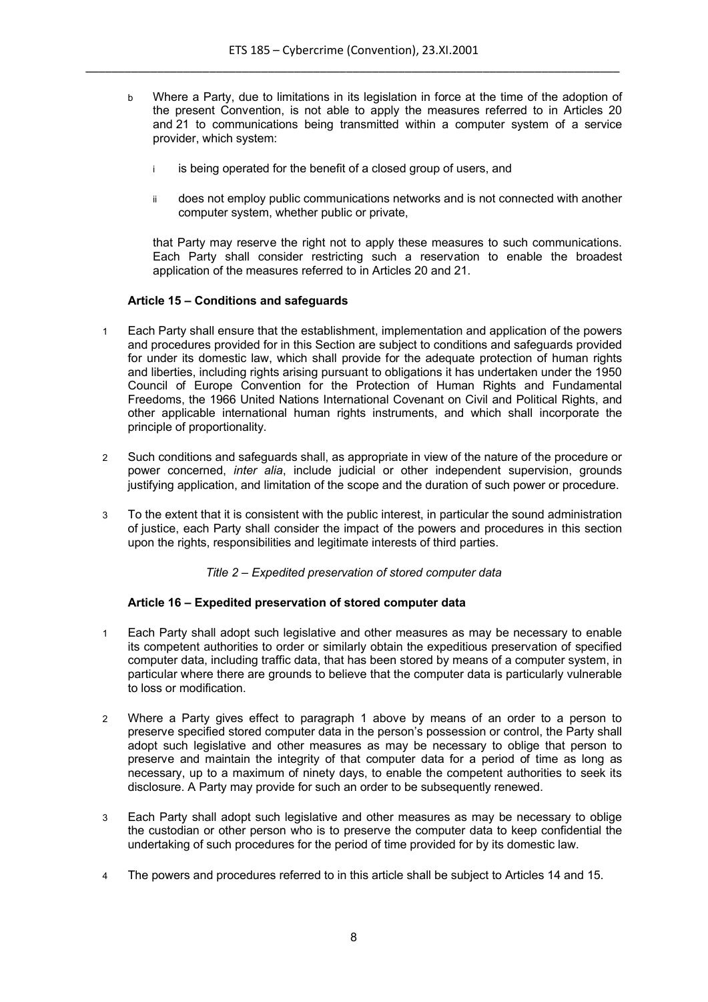- b Where a Party, due to limitations in its legislation in force at the time of the adoption of the present Convention, is not able to apply the measures referred to in Articles 20 and 21 to communications being transmitted within a computer system of a service provider, which system:
	- i is being operated for the benefit of a closed group of users, and
	- ii does not employ public communications networks and is not connected with another computer system, whether public or private,

that Party may reserve the right not to apply these measures to such communications. Each Party shall consider restricting such a reservation to enable the broadest application of the measures referred to in Articles 20 and 21.

### **Article 15 – Conditions and safeguards**

- 1 Each Party shall ensure that the establishment, implementation and application of the powers and procedures provided for in this Section are subject to conditions and safeguards provided for under its domestic law, which shall provide for the adequate protection of human rights and liberties, including rights arising pursuant to obligations it has undertaken under the 1950 Council of Europe Convention for the Protection of Human Rights and Fundamental Freedoms, the 1966 United Nations International Covenant on Civil and Political Rights, and other applicable international human rights instruments, and which shall incorporate the principle of proportionality.
- 2 Such conditions and safeguards shall, as appropriate in view of the nature of the procedure or power concerned, *inter alia*, include judicial or other independent supervision, grounds justifying application, and limitation of the scope and the duration of such power or procedure.
- 3 To the extent that it is consistent with the public interest, in particular the sound administration of justice, each Party shall consider the impact of the powers and procedures in this section upon the rights, responsibilities and legitimate interests of third parties.

## *Title 2 – Expedited preservation of stored computer data*

## **Article 16 – Expedited preservation of stored computer data**

- 1 Each Party shall adopt such legislative and other measures as may be necessary to enable its competent authorities to order or similarly obtain the expeditious preservation of specified computer data, including traffic data, that has been stored by means of a computer system, in particular where there are grounds to believe that the computer data is particularly vulnerable to loss or modification.
- 2 Where a Party gives effect to paragraph 1 above by means of an order to a person to preserve specified stored computer data in the person's possession or control, the Party shall adopt such legislative and other measures as may be necessary to oblige that person to preserve and maintain the integrity of that computer data for a period of time as long as necessary, up to a maximum of ninety days, to enable the competent authorities to seek its disclosure. A Party may provide for such an order to be subsequently renewed.
- 3 Each Party shall adopt such legislative and other measures as may be necessary to oblige the custodian or other person who is to preserve the computer data to keep confidential the undertaking of such procedures for the period of time provided for by its domestic law.
- 4 The powers and procedures referred to in this article shall be subject to Articles 14 and 15.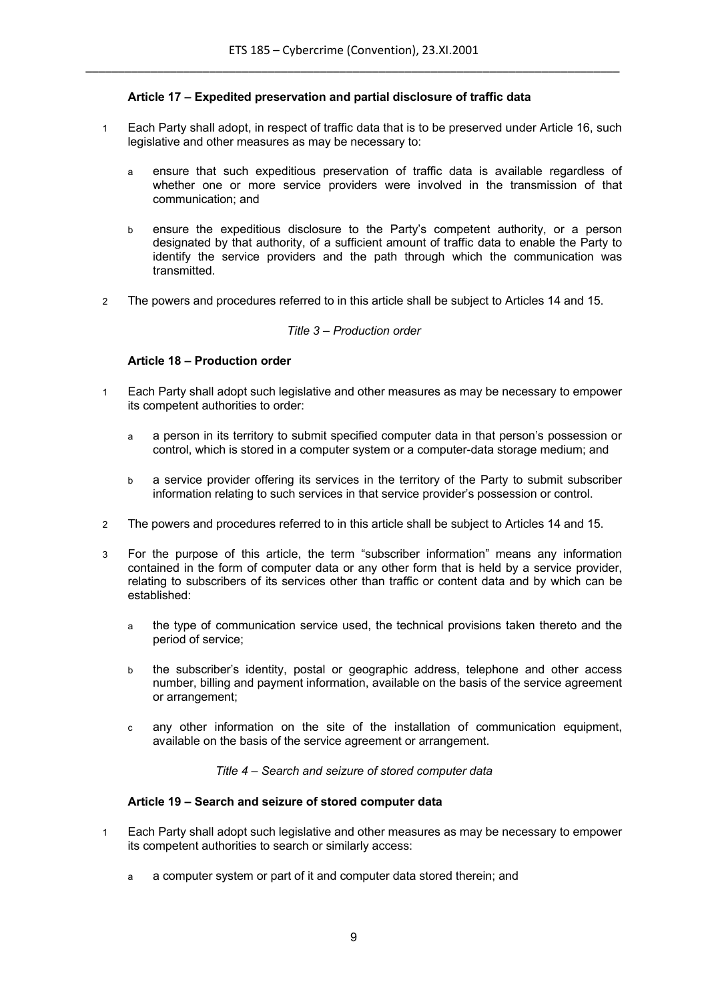## **Article 17 – Expedited preservation and partial disclosure of traffic data**

- 1 Each Party shall adopt, in respect of traffic data that is to be preserved under Article 16, such legislative and other measures as may be necessary to:
	- a ensure that such expeditious preservation of traffic data is available regardless of whether one or more service providers were involved in the transmission of that communication; and
	- b ensure the expeditious disclosure to the Party's competent authority, or a person designated by that authority, of a sufficient amount of traffic data to enable the Party to identify the service providers and the path through which the communication was transmitted.
- 2 The powers and procedures referred to in this article shall be subject to Articles 14 and 15.

### *Title 3 – Production order*

## **Article 18 – Production order**

- 1 Each Party shall adopt such legislative and other measures as may be necessary to empower its competent authorities to order:
	- a a person in its territory to submit specified computer data in that person's possession or control, which is stored in a computer system or a computer-data storage medium; and
	- b a service provider offering its services in the territory of the Party to submit subscriber information relating to such services in that service provider's possession or control.
- 2 The powers and procedures referred to in this article shall be subject to Articles 14 and 15.
- 3 For the purpose of this article, the term "subscriber information" means any information contained in the form of computer data or any other form that is held by a service provider, relating to subscribers of its services other than traffic or content data and by which can be established:
	- a the type of communication service used, the technical provisions taken thereto and the period of service;
	- b the subscriber's identity, postal or geographic address, telephone and other access number, billing and payment information, available on the basis of the service agreement or arrangement;
	- c any other information on the site of the installation of communication equipment, available on the basis of the service agreement or arrangement.

*Title 4 – Search and seizure of stored computer data*

#### **Article 19 – Search and seizure of stored computer data**

- 1 Each Party shall adopt such legislative and other measures as may be necessary to empower its competent authorities to search or similarly access:
	- a a computer system or part of it and computer data stored therein; and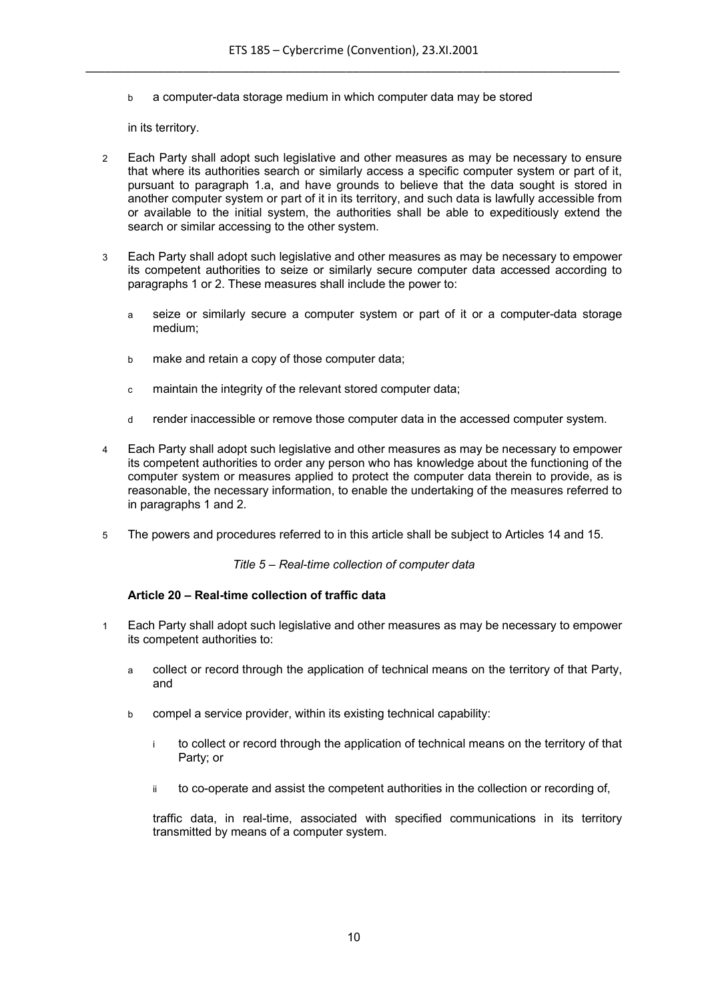b a computer-data storage medium in which computer data may be stored

in its territory.

- 2 Each Party shall adopt such legislative and other measures as may be necessary to ensure that where its authorities search or similarly access a specific computer system or part of it, pursuant to paragraph 1.a, and have grounds to believe that the data sought is stored in another computer system or part of it in its territory, and such data is lawfully accessible from or available to the initial system, the authorities shall be able to expeditiously extend the search or similar accessing to the other system.
- 3 Each Party shall adopt such legislative and other measures as may be necessary to empower its competent authorities to seize or similarly secure computer data accessed according to paragraphs 1 or 2. These measures shall include the power to:
	- a seize or similarly secure a computer system or part of it or a computer-data storage medium;
	- b make and retain a copy of those computer data;
	- c maintain the integrity of the relevant stored computer data;
	- d render inaccessible or remove those computer data in the accessed computer system.
- 4 Each Party shall adopt such legislative and other measures as may be necessary to empower its competent authorities to order any person who has knowledge about the functioning of the computer system or measures applied to protect the computer data therein to provide, as is reasonable, the necessary information, to enable the undertaking of the measures referred to in paragraphs 1 and 2.
- 5 The powers and procedures referred to in this article shall be subject to Articles 14 and 15.

*Title 5 – Real-time collection of computer data*

### **Article 20 – Real-time collection of traffic data**

- 1 Each Party shall adopt such legislative and other measures as may be necessary to empower its competent authorities to:
	- a collect or record through the application of technical means on the territory of that Party, and
	- b compel a service provider, within its existing technical capability:
		- i to collect or record through the application of technical means on the territory of that Party; or
		- ii to co-operate and assist the competent authorities in the collection or recording of,

traffic data, in real-time, associated with specified communications in its territory transmitted by means of a computer system.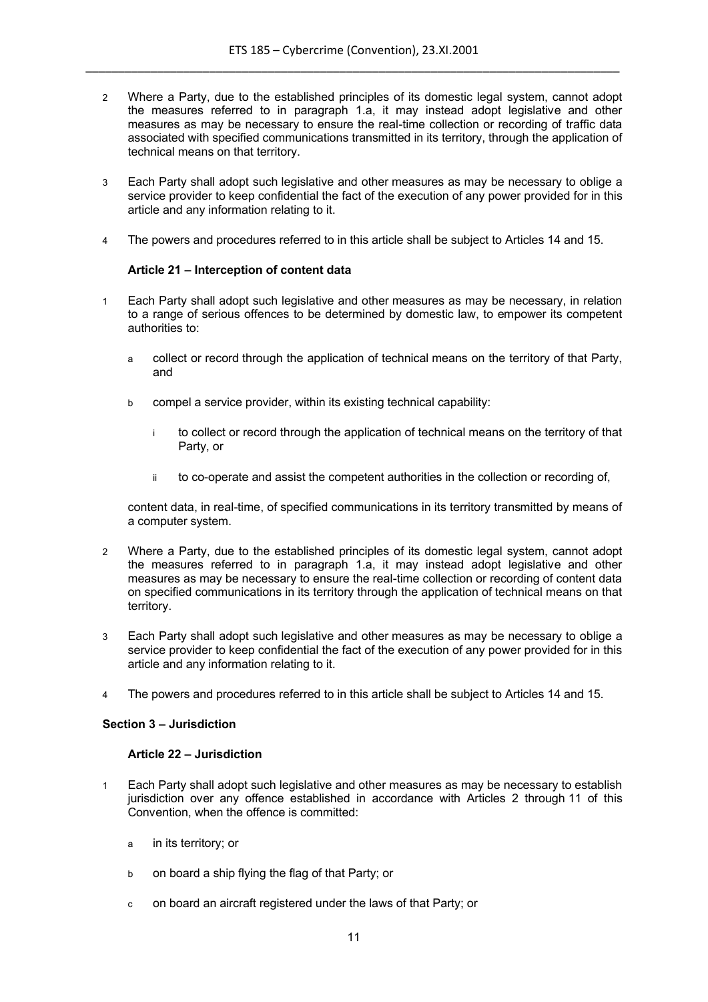- 2 Where a Party, due to the established principles of its domestic legal system, cannot adopt the measures referred to in paragraph 1.a, it may instead adopt legislative and other measures as may be necessary to ensure the real-time collection or recording of traffic data associated with specified communications transmitted in its territory, through the application of technical means on that territory.
- 3 Each Party shall adopt such legislative and other measures as may be necessary to oblige a service provider to keep confidential the fact of the execution of any power provided for in this article and any information relating to it.
- 4 The powers and procedures referred to in this article shall be subject to Articles 14 and 15.

## **Article 21 – Interception of content data**

- 1 Each Party shall adopt such legislative and other measures as may be necessary, in relation to a range of serious offences to be determined by domestic law, to empower its competent authorities to:
	- a collect or record through the application of technical means on the territory of that Party, and
	- b compel a service provider, within its existing technical capability:
		- i to collect or record through the application of technical means on the territory of that Party, or
		- ii to co-operate and assist the competent authorities in the collection or recording of,

content data, in real-time, of specified communications in its territory transmitted by means of a computer system.

- 2 Where a Party, due to the established principles of its domestic legal system, cannot adopt the measures referred to in paragraph 1.a, it may instead adopt legislative and other measures as may be necessary to ensure the real-time collection or recording of content data on specified communications in its territory through the application of technical means on that territory.
- 3 Each Party shall adopt such legislative and other measures as may be necessary to oblige a service provider to keep confidential the fact of the execution of any power provided for in this article and any information relating to it.
- 4 The powers and procedures referred to in this article shall be subject to Articles 14 and 15.

## **Section 3 – Jurisdiction**

#### **Article 22 – Jurisdiction**

- 1 Each Party shall adopt such legislative and other measures as may be necessary to establish jurisdiction over any offence established in accordance with Articles 2 through 11 of this Convention, when the offence is committed:
	- a in its territory; or
	- b on board a ship flying the flag of that Party; or
	- c on board an aircraft registered under the laws of that Party; or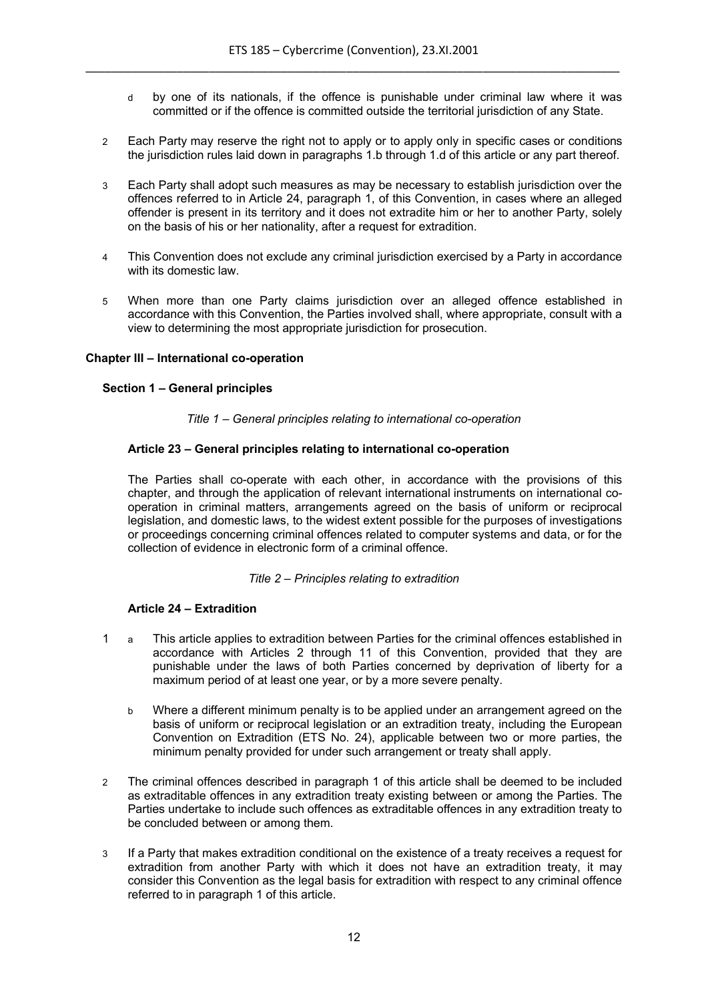- d by one of its nationals, if the offence is punishable under criminal law where it was committed or if the offence is committed outside the territorial jurisdiction of any State.
- 2 Each Party may reserve the right not to apply or to apply only in specific cases or conditions the jurisdiction rules laid down in paragraphs 1.b through 1.d of this article or any part thereof.
- 3 Each Party shall adopt such measures as may be necessary to establish jurisdiction over the offences referred to in Article 24, paragraph 1, of this Convention, in cases where an alleged offender is present in its territory and it does not extradite him or her to another Party, solely on the basis of his or her nationality, after a request for extradition.
- 4 This Convention does not exclude any criminal jurisdiction exercised by a Party in accordance with its domestic law
- 5 When more than one Party claims jurisdiction over an alleged offence established in accordance with this Convention, the Parties involved shall, where appropriate, consult with a view to determining the most appropriate jurisdiction for prosecution.

### **Chapter III – International co-operation**

#### **Section 1 – General principles**

### *Title 1 – General principles relating to international co-operation*

### **Article 23 – General principles relating to international co-operation**

The Parties shall co-operate with each other, in accordance with the provisions of this chapter, and through the application of relevant international instruments on international cooperation in criminal matters, arrangements agreed on the basis of uniform or reciprocal legislation, and domestic laws, to the widest extent possible for the purposes of investigations or proceedings concerning criminal offences related to computer systems and data, or for the collection of evidence in electronic form of a criminal offence.

### *Title 2 – Principles relating to extradition*

## **Article 24 – Extradition**

- 1 a This article applies to extradition between Parties for the criminal offences established in accordance with Articles 2 through 11 of this Convention, provided that they are punishable under the laws of both Parties concerned by deprivation of liberty for a maximum period of at least one year, or by a more severe penalty.
	- b Where a different minimum penalty is to be applied under an arrangement agreed on the basis of uniform or reciprocal legislation or an extradition treaty, including the European Convention on Extradition (ETS No. 24), applicable between two or more parties, the minimum penalty provided for under such arrangement or treaty shall apply.
- 2 The criminal offences described in paragraph 1 of this article shall be deemed to be included as extraditable offences in any extradition treaty existing between or among the Parties. The Parties undertake to include such offences as extraditable offences in any extradition treaty to be concluded between or among them.
- 3 If a Party that makes extradition conditional on the existence of a treaty receives a request for extradition from another Party with which it does not have an extradition treaty, it may consider this Convention as the legal basis for extradition with respect to any criminal offence referred to in paragraph 1 of this article.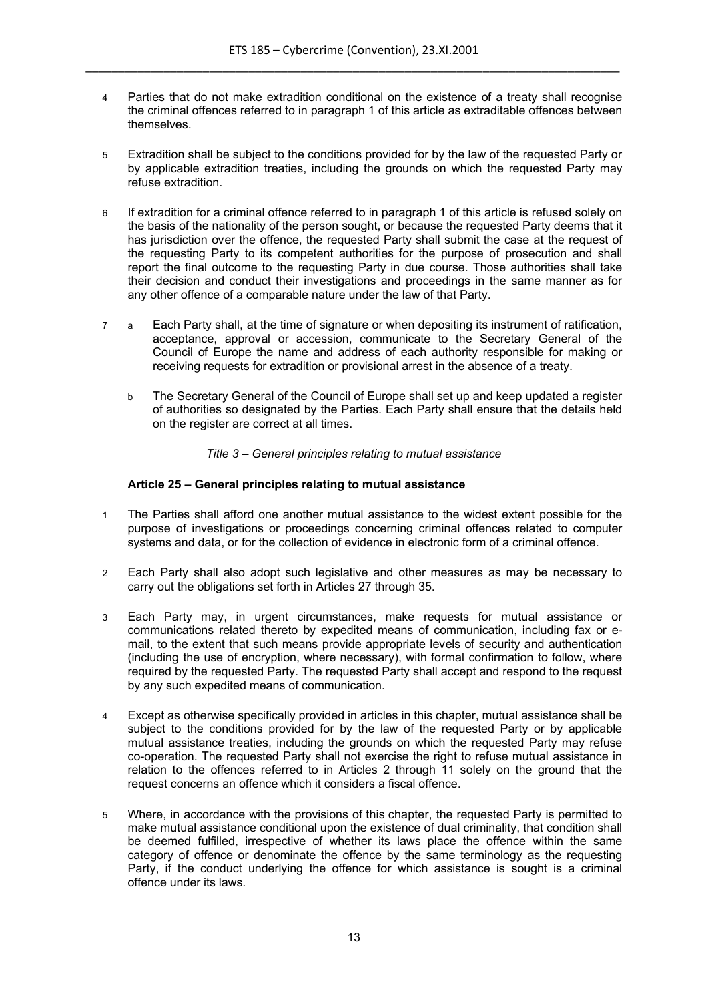- 4 Parties that do not make extradition conditional on the existence of a treaty shall recognise the criminal offences referred to in paragraph 1 of this article as extraditable offences between themselves.
- 5 Extradition shall be subject to the conditions provided for by the law of the requested Party or by applicable extradition treaties, including the grounds on which the requested Party may refuse extradition.
- 6 If extradition for a criminal offence referred to in paragraph 1 of this article is refused solely on the basis of the nationality of the person sought, or because the requested Party deems that it has jurisdiction over the offence, the requested Party shall submit the case at the request of the requesting Party to its competent authorities for the purpose of prosecution and shall report the final outcome to the requesting Party in due course. Those authorities shall take their decision and conduct their investigations and proceedings in the same manner as for any other offence of a comparable nature under the law of that Party.
- 7 a Each Party shall, at the time of signature or when depositing its instrument of ratification, acceptance, approval or accession, communicate to the Secretary General of the Council of Europe the name and address of each authority responsible for making or receiving requests for extradition or provisional arrest in the absence of a treaty.
	- b The Secretary General of the Council of Europe shall set up and keep updated a register of authorities so designated by the Parties. Each Party shall ensure that the details held on the register are correct at all times.

## *Title 3 – General principles relating to mutual assistance*

## **Article 25 – General principles relating to mutual assistance**

- 1 The Parties shall afford one another mutual assistance to the widest extent possible for the purpose of investigations or proceedings concerning criminal offences related to computer systems and data, or for the collection of evidence in electronic form of a criminal offence.
- 2 Each Party shall also adopt such legislative and other measures as may be necessary to carry out the obligations set forth in Articles 27 through 35.
- 3 Each Party may, in urgent circumstances, make requests for mutual assistance or communications related thereto by expedited means of communication, including fax or email, to the extent that such means provide appropriate levels of security and authentication (including the use of encryption, where necessary), with formal confirmation to follow, where required by the requested Party. The requested Party shall accept and respond to the request by any such expedited means of communication.
- 4 Except as otherwise specifically provided in articles in this chapter, mutual assistance shall be subject to the conditions provided for by the law of the requested Party or by applicable mutual assistance treaties, including the grounds on which the requested Party may refuse co-operation. The requested Party shall not exercise the right to refuse mutual assistance in relation to the offences referred to in Articles 2 through 11 solely on the ground that the request concerns an offence which it considers a fiscal offence.
- 5 Where, in accordance with the provisions of this chapter, the requested Party is permitted to make mutual assistance conditional upon the existence of dual criminality, that condition shall be deemed fulfilled, irrespective of whether its laws place the offence within the same category of offence or denominate the offence by the same terminology as the requesting Party, if the conduct underlying the offence for which assistance is sought is a criminal offence under its laws.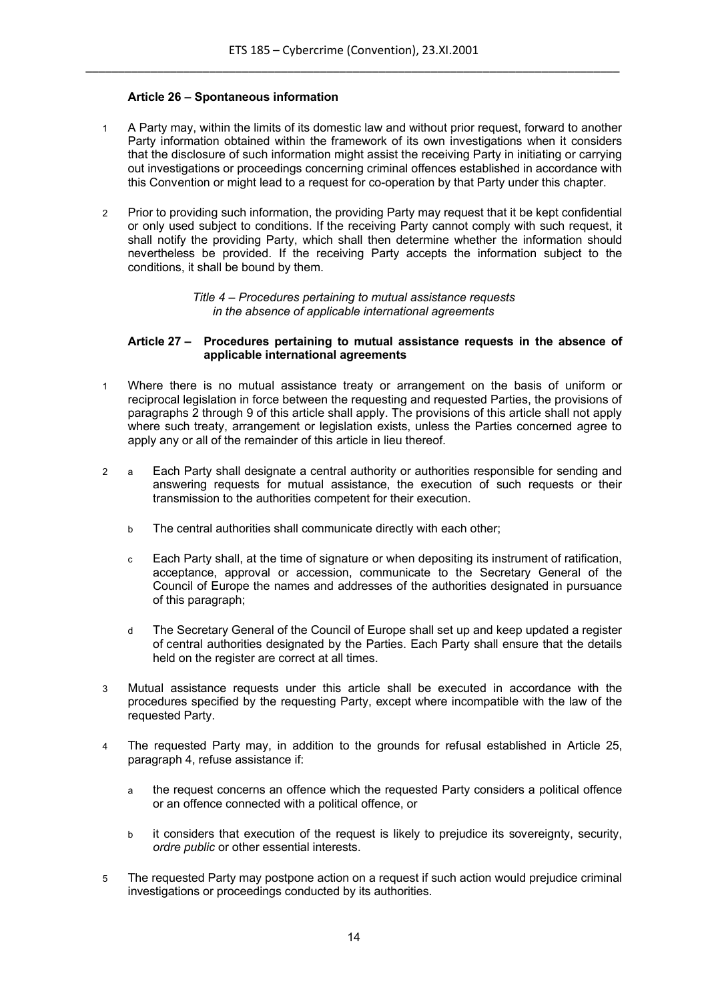### **Article 26 – Spontaneous information**

- 1 A Party may, within the limits of its domestic law and without prior request, forward to another Party information obtained within the framework of its own investigations when it considers that the disclosure of such information might assist the receiving Party in initiating or carrying out investigations or proceedings concerning criminal offences established in accordance with this Convention or might lead to a request for co-operation by that Party under this chapter.
- 2 Prior to providing such information, the providing Party may request that it be kept confidential or only used subject to conditions. If the receiving Party cannot comply with such request, it shall notify the providing Party, which shall then determine whether the information should nevertheless be provided. If the receiving Party accepts the information subject to the conditions, it shall be bound by them.

#### *Title 4 – Procedures pertaining to mutual assistance requests in the absence of applicable international agreements*

### **Article 27 – Procedures pertaining to mutual assistance requests in the absence of applicable international agreements**

- 1 Where there is no mutual assistance treaty or arrangement on the basis of uniform or reciprocal legislation in force between the requesting and requested Parties, the provisions of paragraphs 2 through 9 of this article shall apply. The provisions of this article shall not apply where such treaty, arrangement or legislation exists, unless the Parties concerned agree to apply any or all of the remainder of this article in lieu thereof.
- 2 a Each Party shall designate a central authority or authorities responsible for sending and answering requests for mutual assistance, the execution of such requests or their transmission to the authorities competent for their execution.
	- b The central authorities shall communicate directly with each other;
	- c Each Party shall, at the time of signature or when depositing its instrument of ratification, acceptance, approval or accession, communicate to the Secretary General of the Council of Europe the names and addresses of the authorities designated in pursuance of this paragraph;
	- d The Secretary General of the Council of Europe shall set up and keep updated a register of central authorities designated by the Parties. Each Party shall ensure that the details held on the register are correct at all times.
- 3 Mutual assistance requests under this article shall be executed in accordance with the procedures specified by the requesting Party, except where incompatible with the law of the requested Party.
- 4 The requested Party may, in addition to the grounds for refusal established in Article 25, paragraph 4, refuse assistance if:
	- a the request concerns an offence which the requested Party considers a political offence or an offence connected with a political offence, or
	- b it considers that execution of the request is likely to prejudice its sovereignty, security, *ordre public* or other essential interests.
- 5 The requested Party may postpone action on a request if such action would prejudice criminal investigations or proceedings conducted by its authorities.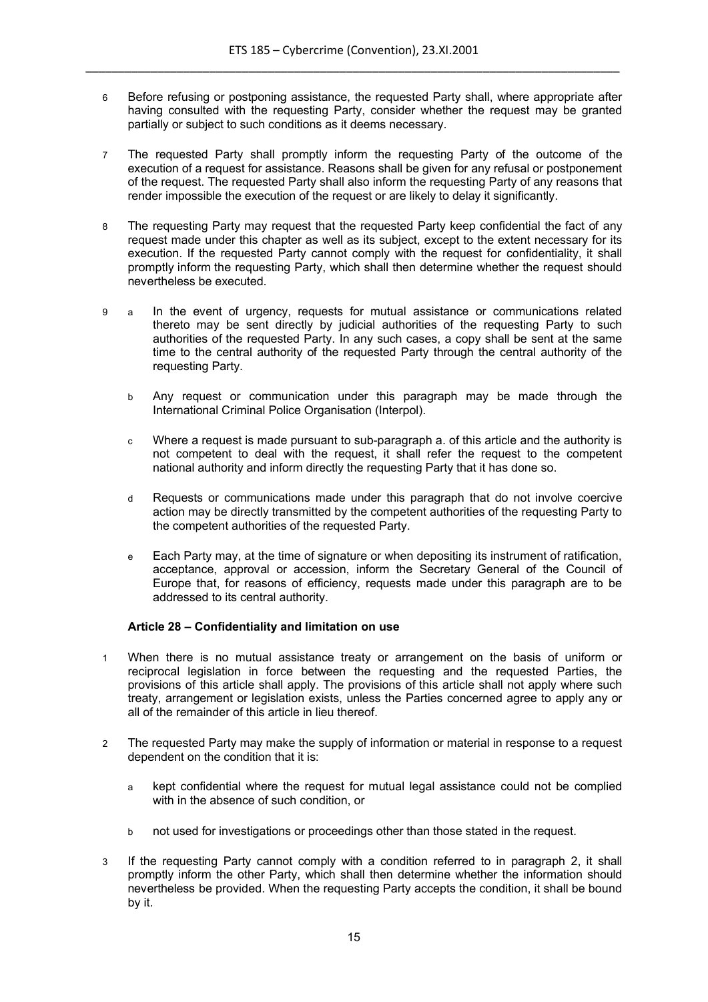- 6 Before refusing or postponing assistance, the requested Party shall, where appropriate after having consulted with the requesting Party, consider whether the request may be granted partially or subject to such conditions as it deems necessary.
- 7 The requested Party shall promptly inform the requesting Party of the outcome of the execution of a request for assistance. Reasons shall be given for any refusal or postponement of the request. The requested Party shall also inform the requesting Party of any reasons that render impossible the execution of the request or are likely to delay it significantly.
- 8 The requesting Party may request that the requested Party keep confidential the fact of any request made under this chapter as well as its subject, except to the extent necessary for its execution. If the requested Party cannot comply with the request for confidentiality, it shall promptly inform the requesting Party, which shall then determine whether the request should nevertheless be executed.
- 9 a In the event of urgency, requests for mutual assistance or communications related thereto may be sent directly by judicial authorities of the requesting Party to such authorities of the requested Party. In any such cases, a copy shall be sent at the same time to the central authority of the requested Party through the central authority of the requesting Party.
	- b Any request or communication under this paragraph may be made through the International Criminal Police Organisation (Interpol).
	- c Where a request is made pursuant to sub-paragraph a. of this article and the authority is not competent to deal with the request, it shall refer the request to the competent national authority and inform directly the requesting Party that it has done so.
	- d Requests or communications made under this paragraph that do not involve coercive action may be directly transmitted by the competent authorities of the requesting Party to the competent authorities of the requested Party.
	- e Each Party may, at the time of signature or when depositing its instrument of ratification, acceptance, approval or accession, inform the Secretary General of the Council of Europe that, for reasons of efficiency, requests made under this paragraph are to be addressed to its central authority.

## **Article 28 – Confidentiality and limitation on use**

- 1 When there is no mutual assistance treaty or arrangement on the basis of uniform or reciprocal legislation in force between the requesting and the requested Parties, the provisions of this article shall apply. The provisions of this article shall not apply where such treaty, arrangement or legislation exists, unless the Parties concerned agree to apply any or all of the remainder of this article in lieu thereof.
- 2 The requested Party may make the supply of information or material in response to a request dependent on the condition that it is:
	- a kept confidential where the request for mutual legal assistance could not be complied with in the absence of such condition, or
	- b not used for investigations or proceedings other than those stated in the request.
- 3 If the requesting Party cannot comply with a condition referred to in paragraph 2, it shall promptly inform the other Party, which shall then determine whether the information should nevertheless be provided. When the requesting Party accepts the condition, it shall be bound by it.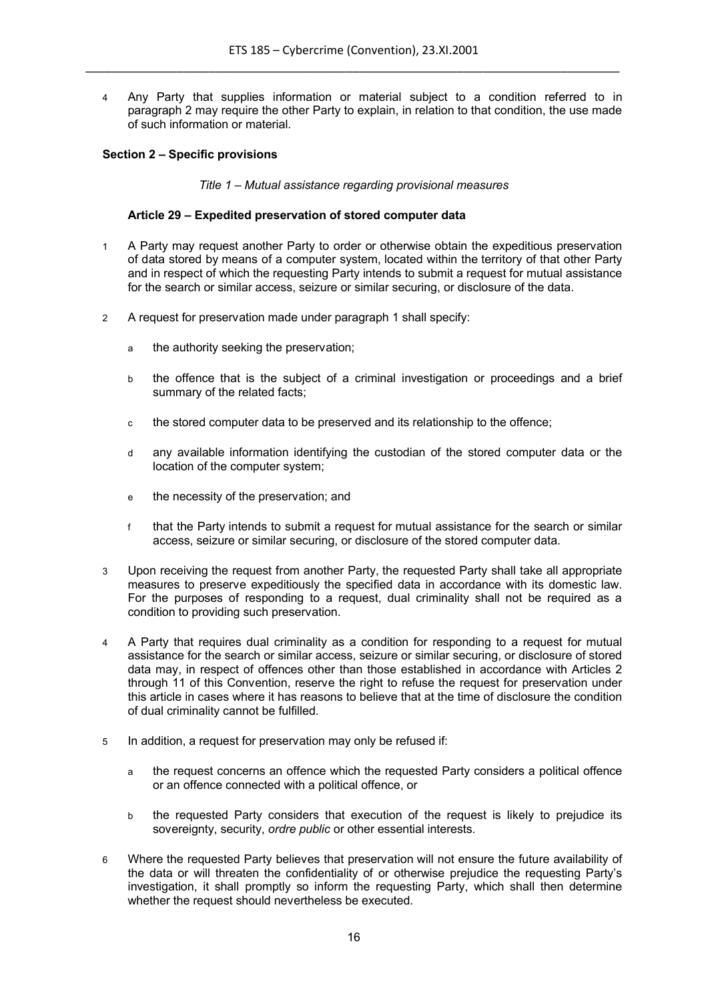4 Any Party that supplies information or material subject to a condition referred to in paragraph 2 may require the other Party to explain, in relation to that condition, the use made of such information or material.

## **Section 2 – Specific provisions**

### *Title 1 – Mutual assistance regarding provisional measures*

### **Article 29 – Expedited preservation of stored computer data**

- 1 A Party may request another Party to order or otherwise obtain the expeditious preservation of data stored by means of a computer system, located within the territory of that other Party and in respect of which the requesting Party intends to submit a request for mutual assistance for the search or similar access, seizure or similar securing, or disclosure of the data.
- 2 A request for preservation made under paragraph 1 shall specify:
	- a the authority seeking the preservation;
	- b the offence that is the subject of a criminal investigation or proceedings and a brief summary of the related facts;
	- c the stored computer data to be preserved and its relationship to the offence;
	- d any available information identifying the custodian of the stored computer data or the location of the computer system;
	- e the necessity of the preservation; and
	- f that the Party intends to submit a request for mutual assistance for the search or similar access, seizure or similar securing, or disclosure of the stored computer data.
- 3 Upon receiving the request from another Party, the requested Party shall take all appropriate measures to preserve expeditiously the specified data in accordance with its domestic law. For the purposes of responding to a request, dual criminality shall not be required as a condition to providing such preservation.
- 4 A Party that requires dual criminality as a condition for responding to a request for mutual assistance for the search or similar access, seizure or similar securing, or disclosure of stored data may, in respect of offences other than those established in accordance with Articles 2 through 11 of this Convention, reserve the right to refuse the request for preservation under this article in cases where it has reasons to believe that at the time of disclosure the condition of dual criminality cannot be fulfilled.
- 5 In addition, a request for preservation may only be refused if:
	- a the request concerns an offence which the requested Party considers a political offence or an offence connected with a political offence, or
	- b the requested Party considers that execution of the request is likely to prejudice its sovereignty, security, *ordre public* or other essential interests.
- 6 Where the requested Party believes that preservation will not ensure the future availability of the data or will threaten the confidentiality of or otherwise prejudice the requesting Party's investigation, it shall promptly so inform the requesting Party, which shall then determine whether the request should nevertheless be executed.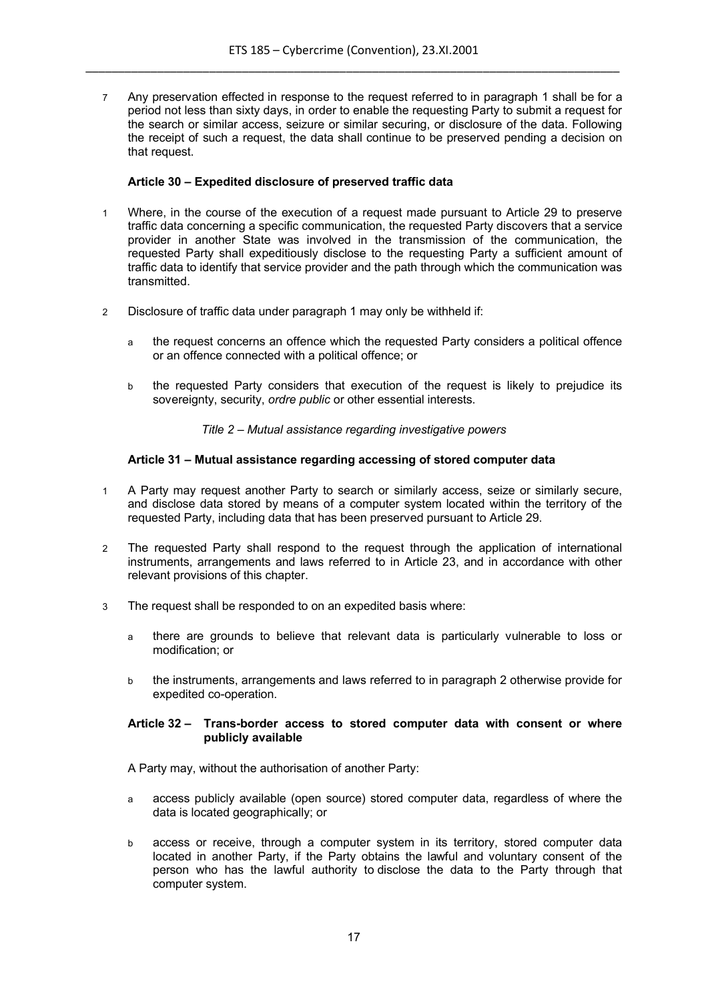7 Any preservation effected in response to the request referred to in paragraph 1 shall be for a period not less than sixty days, in order to enable the requesting Party to submit a request for the search or similar access, seizure or similar securing, or disclosure of the data. Following the receipt of such a request, the data shall continue to be preserved pending a decision on that request.

### **Article 30 – Expedited disclosure of preserved traffic data**

- 1 Where, in the course of the execution of a request made pursuant to Article 29 to preserve traffic data concerning a specific communication, the requested Party discovers that a service provider in another State was involved in the transmission of the communication, the requested Party shall expeditiously disclose to the requesting Party a sufficient amount of traffic data to identify that service provider and the path through which the communication was transmitted.
- 2 Disclosure of traffic data under paragraph 1 may only be withheld if:
	- a the request concerns an offence which the requested Party considers a political offence or an offence connected with a political offence; or
	- b the requested Party considers that execution of the request is likely to prejudice its sovereignty, security, *ordre public* or other essential interests.

#### *Title 2 – Mutual assistance regarding investigative powers*

### **Article 31 – Mutual assistance regarding accessing of stored computer data**

- 1 A Party may request another Party to search or similarly access, seize or similarly secure, and disclose data stored by means of a computer system located within the territory of the requested Party, including data that has been preserved pursuant to Article 29.
- 2 The requested Party shall respond to the request through the application of international instruments, arrangements and laws referred to in Article 23, and in accordance with other relevant provisions of this chapter.
- 3 The request shall be responded to on an expedited basis where:
	- a there are grounds to believe that relevant data is particularly vulnerable to loss or modification; or
	- b the instruments, arrangements and laws referred to in paragraph 2 otherwise provide for expedited co-operation.

### **Article 32 – Trans-border access to stored computer data with consent or where publicly available**

A Party may, without the authorisation of another Party:

- a access publicly available (open source) stored computer data, regardless of where the data is located geographically; or
- b access or receive, through a computer system in its territory, stored computer data located in another Party, if the Party obtains the lawful and voluntary consent of the person who has the lawful authority to disclose the data to the Party through that computer system.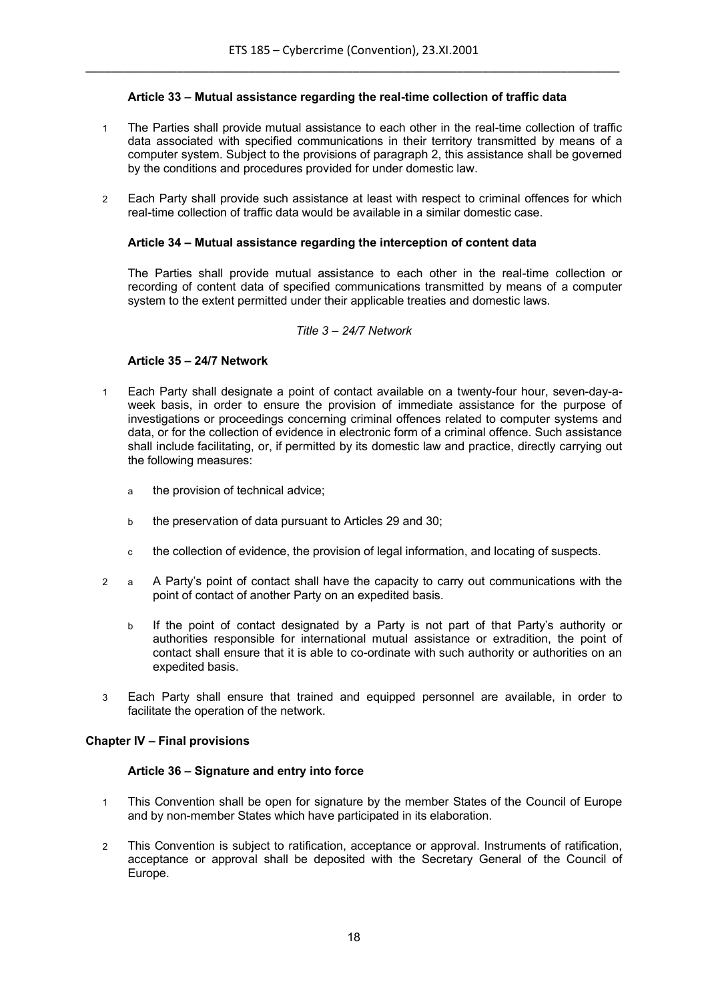## **Article 33 – Mutual assistance regarding the real-time collection of traffic data**

- 1 The Parties shall provide mutual assistance to each other in the real-time collection of traffic data associated with specified communications in their territory transmitted by means of a computer system. Subject to the provisions of paragraph 2, this assistance shall be governed by the conditions and procedures provided for under domestic law.
- 2 Each Party shall provide such assistance at least with respect to criminal offences for which real-time collection of traffic data would be available in a similar domestic case.

#### **Article 34 – Mutual assistance regarding the interception of content data**

The Parties shall provide mutual assistance to each other in the real-time collection or recording of content data of specified communications transmitted by means of a computer system to the extent permitted under their applicable treaties and domestic laws.

#### *Title 3 – 24/7 Network*

### **Article 35 – 24/7 Network**

- 1 Each Party shall designate a point of contact available on a twenty-four hour, seven-day-aweek basis, in order to ensure the provision of immediate assistance for the purpose of investigations or proceedings concerning criminal offences related to computer systems and data, or for the collection of evidence in electronic form of a criminal offence. Such assistance shall include facilitating, or, if permitted by its domestic law and practice, directly carrying out the following measures:
	- a the provision of technical advice;
	- b the preservation of data pursuant to Articles 29 and 30;
	- c the collection of evidence, the provision of legal information, and locating of suspects.
- 2 a A Party's point of contact shall have the capacity to carry out communications with the point of contact of another Party on an expedited basis.
	- b If the point of contact designated by a Party is not part of that Party's authority or authorities responsible for international mutual assistance or extradition, the point of contact shall ensure that it is able to co-ordinate with such authority or authorities on an expedited basis.
- 3 Each Party shall ensure that trained and equipped personnel are available, in order to facilitate the operation of the network.

#### **Chapter IV – Final provisions**

#### **Article 36 – Signature and entry into force**

- 1 This Convention shall be open for signature by the member States of the Council of Europe and by non-member States which have participated in its elaboration.
- 2 This Convention is subject to ratification, acceptance or approval. Instruments of ratification, acceptance or approval shall be deposited with the Secretary General of the Council of Europe.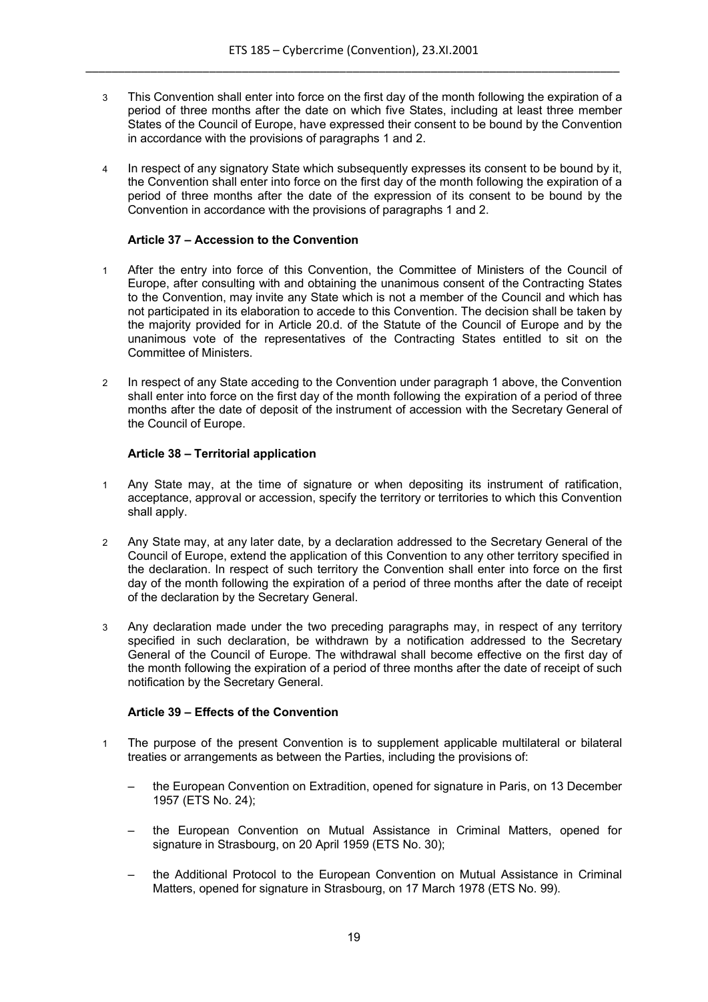- 3 This Convention shall enter into force on the first day of the month following the expiration of a period of three months after the date on which five States, including at least three member States of the Council of Europe, have expressed their consent to be bound by the Convention in accordance with the provisions of paragraphs 1 and 2.
- 4 In respect of any signatory State which subsequently expresses its consent to be bound by it, the Convention shall enter into force on the first day of the month following the expiration of a period of three months after the date of the expression of its consent to be bound by the Convention in accordance with the provisions of paragraphs 1 and 2.

## **Article 37 – Accession to the Convention**

- 1 After the entry into force of this Convention, the Committee of Ministers of the Council of Europe, after consulting with and obtaining the unanimous consent of the Contracting States to the Convention, may invite any State which is not a member of the Council and which has not participated in its elaboration to accede to this Convention. The decision shall be taken by the majority provided for in Article 20.d. of the Statute of the Council of Europe and by the unanimous vote of the representatives of the Contracting States entitled to sit on the Committee of Ministers.
- 2 In respect of any State acceding to the Convention under paragraph 1 above, the Convention shall enter into force on the first day of the month following the expiration of a period of three months after the date of deposit of the instrument of accession with the Secretary General of the Council of Europe.

## **Article 38 – Territorial application**

- 1 Any State may, at the time of signature or when depositing its instrument of ratification, acceptance, approval or accession, specify the territory or territories to which this Convention shall apply.
- 2 Any State may, at any later date, by a declaration addressed to the Secretary General of the Council of Europe, extend the application of this Convention to any other territory specified in the declaration. In respect of such territory the Convention shall enter into force on the first day of the month following the expiration of a period of three months after the date of receipt of the declaration by the Secretary General.
- 3 Any declaration made under the two preceding paragraphs may, in respect of any territory specified in such declaration, be withdrawn by a notification addressed to the Secretary General of the Council of Europe. The withdrawal shall become effective on the first day of the month following the expiration of a period of three months after the date of receipt of such notification by the Secretary General.

## **Article 39 – Effects of the Convention**

- 1 The purpose of the present Convention is to supplement applicable multilateral or bilateral treaties or arrangements as between the Parties, including the provisions of:
	- the European Convention on Extradition, opened for signature in Paris, on 13 December 1957 (ETS No. 24);
	- the European Convention on Mutual Assistance in Criminal Matters, opened for signature in Strasbourg, on 20 April 1959 (ETS No. 30);
	- the Additional Protocol to the European Convention on Mutual Assistance in Criminal Matters, opened for signature in Strasbourg, on 17 March 1978 (ETS No. 99).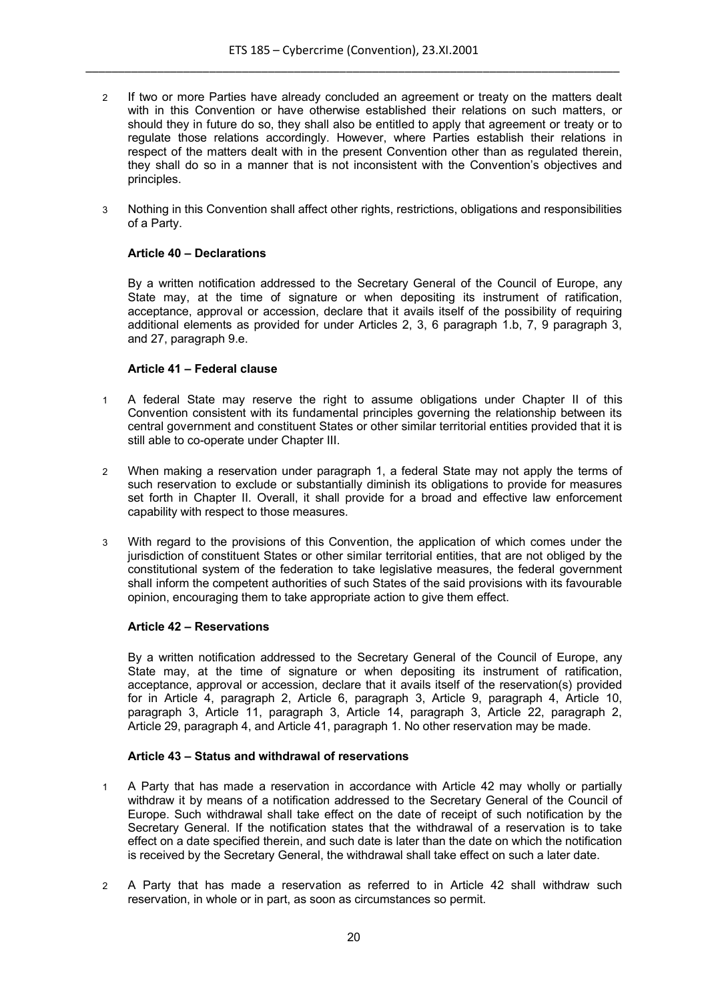- 2 If two or more Parties have already concluded an agreement or treaty on the matters dealt with in this Convention or have otherwise established their relations on such matters, or should they in future do so, they shall also be entitled to apply that agreement or treaty or to regulate those relations accordingly. However, where Parties establish their relations in respect of the matters dealt with in the present Convention other than as regulated therein, they shall do so in a manner that is not inconsistent with the Convention's objectives and principles.
- 3 Nothing in this Convention shall affect other rights, restrictions, obligations and responsibilities of a Party.

## **Article 40 – Declarations**

By a written notification addressed to the Secretary General of the Council of Europe, any State may, at the time of signature or when depositing its instrument of ratification, acceptance, approval or accession, declare that it avails itself of the possibility of requiring additional elements as provided for under Articles 2, 3, 6 paragraph 1.b, 7, 9 paragraph 3, and 27, paragraph 9.e.

### **Article 41 – Federal clause**

- 1 A federal State may reserve the right to assume obligations under Chapter II of this Convention consistent with its fundamental principles governing the relationship between its central government and constituent States or other similar territorial entities provided that it is still able to co-operate under Chapter III.
- 2 When making a reservation under paragraph 1, a federal State may not apply the terms of such reservation to exclude or substantially diminish its obligations to provide for measures set forth in Chapter II. Overall, it shall provide for a broad and effective law enforcement capability with respect to those measures.
- 3 With regard to the provisions of this Convention, the application of which comes under the jurisdiction of constituent States or other similar territorial entities, that are not obliged by the constitutional system of the federation to take legislative measures, the federal government shall inform the competent authorities of such States of the said provisions with its favourable opinion, encouraging them to take appropriate action to give them effect.

#### **Article 42 – Reservations**

By a written notification addressed to the Secretary General of the Council of Europe, any State may, at the time of signature or when depositing its instrument of ratification, acceptance, approval or accession, declare that it avails itself of the reservation(s) provided for in Article 4, paragraph 2, Article 6, paragraph 3, Article 9, paragraph 4, Article 10, paragraph 3, Article 11, paragraph 3, Article 14, paragraph 3, Article 22, paragraph 2, Article 29, paragraph 4, and Article 41, paragraph 1. No other reservation may be made.

## **Article 43 – Status and withdrawal of reservations**

- 1 A Party that has made a reservation in accordance with Article 42 may wholly or partially withdraw it by means of a notification addressed to the Secretary General of the Council of Europe. Such withdrawal shall take effect on the date of receipt of such notification by the Secretary General. If the notification states that the withdrawal of a reservation is to take effect on a date specified therein, and such date is later than the date on which the notification is received by the Secretary General, the withdrawal shall take effect on such a later date.
- 2 A Party that has made a reservation as referred to in Article 42 shall withdraw such reservation, in whole or in part, as soon as circumstances so permit.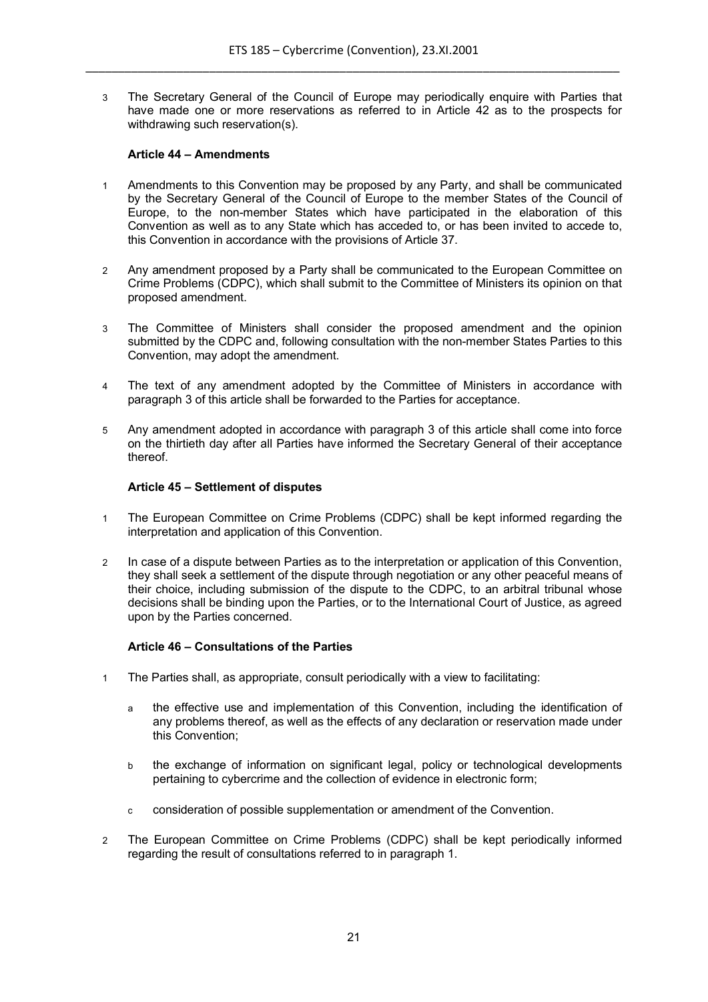3 The Secretary General of the Council of Europe may periodically enquire with Parties that have made one or more reservations as referred to in Article 42 as to the prospects for withdrawing such reservation(s).

## **Article 44 – Amendments**

- 1 Amendments to this Convention may be proposed by any Party, and shall be communicated by the Secretary General of the Council of Europe to the member States of the Council of Europe, to the non-member States which have participated in the elaboration of this Convention as well as to any State which has acceded to, or has been invited to accede to, this Convention in accordance with the provisions of Article 37.
- 2 Any amendment proposed by a Party shall be communicated to the European Committee on Crime Problems (CDPC), which shall submit to the Committee of Ministers its opinion on that proposed amendment.
- 3 The Committee of Ministers shall consider the proposed amendment and the opinion submitted by the CDPC and, following consultation with the non-member States Parties to this Convention, may adopt the amendment.
- 4 The text of any amendment adopted by the Committee of Ministers in accordance with paragraph 3 of this article shall be forwarded to the Parties for acceptance.
- 5 Any amendment adopted in accordance with paragraph 3 of this article shall come into force on the thirtieth day after all Parties have informed the Secretary General of their acceptance thereof.

### **Article 45 – Settlement of disputes**

- 1 The European Committee on Crime Problems (CDPC) shall be kept informed regarding the interpretation and application of this Convention.
- 2 In case of a dispute between Parties as to the interpretation or application of this Convention, they shall seek a settlement of the dispute through negotiation or any other peaceful means of their choice, including submission of the dispute to the CDPC, to an arbitral tribunal whose decisions shall be binding upon the Parties, or to the International Court of Justice, as agreed upon by the Parties concerned.

## **Article 46 – Consultations of the Parties**

- 1 The Parties shall, as appropriate, consult periodically with a view to facilitating:
	- a the effective use and implementation of this Convention, including the identification of any problems thereof, as well as the effects of any declaration or reservation made under this Convention;
	- b the exchange of information on significant legal, policy or technological developments pertaining to cybercrime and the collection of evidence in electronic form;
	- c consideration of possible supplementation or amendment of the Convention.
- 2 The European Committee on Crime Problems (CDPC) shall be kept periodically informed regarding the result of consultations referred to in paragraph 1.